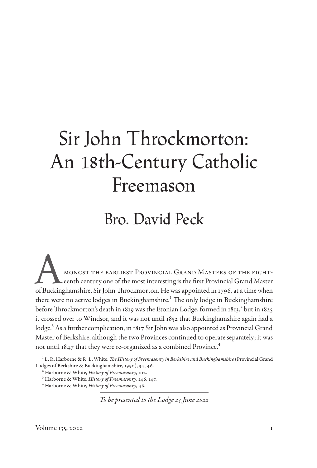# Sir John Throckmorton: An 18th-Century Catholic Freemason

# Bro. David Peck

A mongst the earliest Provincial Grand Masters of the eighteenth century one of the most interesting is the first Provincial Grand Master of Buckinghamshire, Sir John Throckmorton. He was appointed in 1796, at a time when there were no active lodges in Buckinghamshire.<sup>1</sup> The only lodge in Buckinghamshire before Throckmorton's death in 1819 was the Etonian Lodge, formed in  $1813$ ,  $^2$  but in 1825 it crossed over to Windsor, and it was not until 1852 that Buckinghamshire again had a lodge.<sup>3</sup> As a further complication, in 1817 Sir John was also appointed as Provincial Grand Master of Berkshire, although the two Provinces continued to operate separately; it was not until 1847 that they were re-organized as a combined Province.<sup>4</sup>

<sup>1</sup> L. R. Harborne & R. L. White, *The History of Freemasonry in Berkshire and Buckinghamshire* (Provincial Grand Lodges of Berkshire & Buckinghamshire, 1990), 34, 46.

*To be presented to the Lodge 23 June 2022*

<sup>2</sup> Harborne & White, *History of Freemasonry*, 102.

<sup>3</sup> Harborne & White, *History of Freemasonry*, 146, 147.

<sup>4</sup> Harborne & White, *History of Freemasonry*, 46.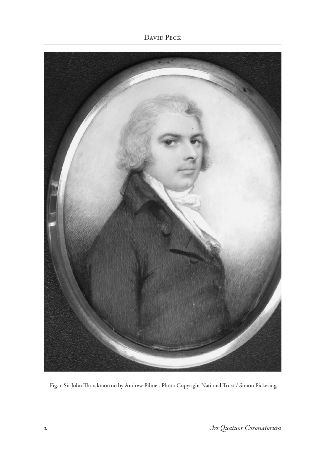David Peck



Fig. 1. Sir John Throckmorton by Andrew Pilmer. Photo Copyright National Trust / Simon Pickering.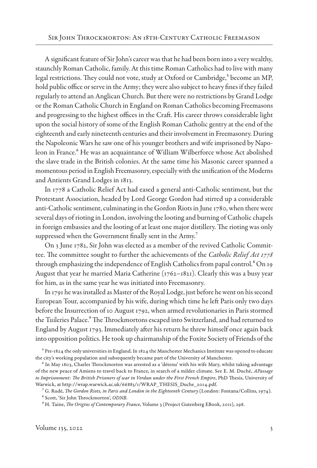A significant feature of Sir John's career was that he had been born into a very wealthy, staunchly Roman Catholic, family. At this time Roman Catholics had to live with many legal restrictions. They could not vote, study at Oxford or Cambridge,<sup>5</sup> become an MP, hold public office or serve in the Army; they were also subject to heavy fines if they failed regularly to attend an Anglican Church. But there were no restrictions by Grand Lodge or the Roman Catholic Church in England on Roman Catholics becoming Freemasons and progressing to the highest offices in the Craft. His career throws considerable light upon the social history of some of the English Roman Catholic gentry at the end of the eighteenth and early nineteenth centuries and their involvement in Freemasonry. During the Napoleonic Wars he saw one of his younger brothers and wife imprisoned by Napoleon in France.<sup>6</sup> He was an acquaintance of William Wilberforce whose Act abolished the slave trade in the British colonies. At the same time his Masonic career spanned a momentous period in English Freemasonry, especially with the unification of the Moderns and Antients Grand Lodges in 1813.

In 1778 a Catholic Relief Act had eased a general anti-Catholic sentiment, but the Protestant Association, headed by Lord George Gordon had stirred up a considerable anti-Catholic sentiment, culminating in the Gordon Riots in June 1780, when there were several days of rioting in London, involving the looting and burning of Catholic chapels in foreign embassies and the looting of at least one major distillery. The rioting was only suppressed when the Government finally sent in the Army.<sup>7</sup>

On 3 June 1782, Sir John was elected as a member of the revived Catholic Committee. The committee sought to further the achievements of the *Catholic Relief Act 1778* through emphasizing the independence of English Catholics from papal control.<sup>8</sup> On 19 August that year he married Maria Catherine (1762–1821). Clearly this was a busy year for him, as in the same year he was initiated into Freemasonry.

In 1791 he was installed as Master of the Royal Lodge, just before he went on his second European Tour, accompanied by his wife, during which time he left Paris only two days before the Insurrection of 10 August 1792, when armed revolutionaries in Paris stormed the Tuileries Palace.<sup>9</sup> The Throckmortons escaped into Switzerland, and had returned to England by August 1793. Immediately after his return he threw himself once again back into opposition politics. He took up chairmanship of the Foxite Society of Friends of the

<sup>5</sup> Pre-1824 the only universities in England. In 1824 the Manchester Mechanics Institute was opened to educate the city's working population and subsequently became part of the University of Manchester.

<sup>6</sup> In May 1803, Charles Throckmorton was arrested as a 'détenu' with his wife Mary, whilst taking advantage of the new peace of Amiens to travel back to France, in search of a milder climate. See E. M. Duché, *APassage to Imprisonment: The British Prisoners of war in Verdun under the First French Empire*, PhD Thesis, University of Warwick, at http://wrap.warwick.ac.uk/66883/1/WRAP\_THESIS\_Duche\_2014.pdf.

<sup>7</sup> G. Rudé, *The Gordon Riots, in Paris and London in the Eighteenth Century* (London: Fontana/Collins, 1974).

<sup>8</sup> Scott, 'Sir John Throckmorton', *ODNB.*

<sup>9</sup> H. Taine, *The Origins of Contemporary France*, Volume 3 (Project Gutenberg EBook, 2011), 298.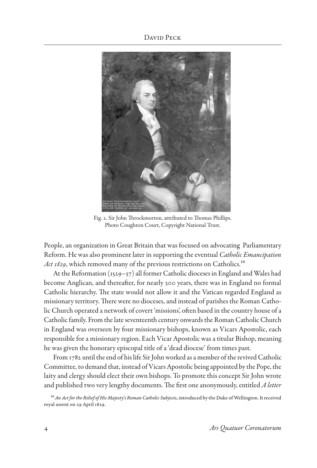David Peck



Fig. 2. Sir John Throckmorton, attributed to Thomas Phillips. Photo Coughton Court, Copyright National Trust.

People, an organization in Great Britain that was focused on advocating Parliamentary Reform. He was also prominent later in supporting the eventual *Catholic Emancipation*  Act 1829, which removed many of the previous restrictions on Catholics.<sup>10</sup>

At the Reformation (1529–37) all former Catholic dioceses in England and Wales had become Anglican, and thereafter, for nearly 300 years, there was in England no formal Catholic hierarchy. The state would not allow it and the Vatican regarded England as missionary territory. There were no dioceses, and instead of parishes the Roman Catholic Church operated a network of covert 'missions', often based in the country house of a Catholic family. From the late seventeenth century onwards the Roman Catholic Church in England was overseen by four missionary bishops, known as Vicars Apostolic, each responsible for a missionary region. Each Vicar Apostolic was a titular Bishop, meaning he was given the honorary episcopal title of a 'dead diocese' from times past.

From 1782 until the end of his life Sir John worked as a member of the revived Catholic Committee, to demand that, instead of Vicars Apostolic being appointed by the Pope, the laity and clergy should elect their own bishops. To promote this concept Sir John wrote and published two very lengthy documents. The first one anonymously, entitled *A letter* 

10 *An Act for the Relief of His Majesty's Roman Catholic Subjects*, introduced by the Duke of Wellington. It received royal assent on 29 April 1829.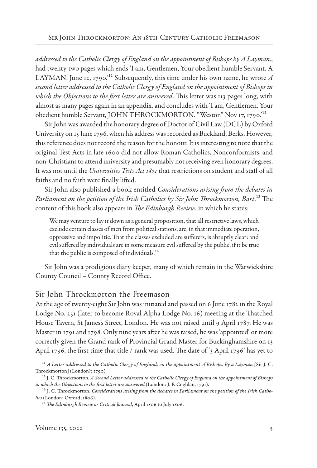*addressed to the Catholic Clergy of England on the appointment of Bishops by A Layman*., had twenty-two pages which ends 'I am, Gentlemen, Your obedient humble Servant, A LAYMAN. June 12, 1790.<sup>'11</sup> Subsequently, this time under his own name, he wrote  $A$ *second letter addressed to the Catholic Clergy of England on the appointment of Bishops in which the Objections to the first letter are answered*. This letter was 113 pages long, with almost as many pages again in an appendix, and concludes with 'I am, Gentlemen, Your obedient humble Servant, JOHN THROCKMORTON. "Weston" Nov 17, 1790.'12

Sir John was awarded the honorary degree of Doctor of Civil Law (DCL) by Oxford University on 15 June 1796, when his address was recorded as Buckland, Berks. However, this reference does not record the reason for the honour. It is interesting to note that the original Test Acts in late 1600 did not allow Roman Catholics, Nonconformists, and non-Christians to attend university and presumably not receiving even honorary degrees. It was not until the *Universities Tests Act 1871* that restrictions on student and staff of all faiths and no faith were finally lifted.

Sir John also published a book entitled *Considerations arising from the debates in Parliament on the petition of the Irish Catholics by Sir John Throckmorton, Bart*.13 The content of this book also appears in *The Edinburgh Review*, in which he states:

We may venture to lay it down as a general proposition, that all restrictive laws, which exclude certain classes of men from political stations, are, in that immediate operation, oppressive and impolitic. That the classes excluded are sufferers, is abruptly clear: and evil suffered by individuals are in some measure evil suffered by the public, if it be true that the public is composed of individuals.<sup>14</sup>

Sir John was a prodigious diary keeper, many of which remain in the Warwickshire County Council – County Record Office.

#### Sir John Throckmorton the Freemason

At the age of twenty-eight Sir John was initiated and passed on 6 June 1782 in the Royal Lodge No. 251 (later to become Royal Alpha Lodge No. 16) meeting at the Thatched House Tavern, St James's Street, London. He was not raised until 9 April 1787. He was Master in 1791 and 1798. Only nine years after he was raised, he was 'appointed' or more correctly given the Grand rank of Provincial Grand Master for Buckinghamshire on 13 April 1796, the first time that title / rank was used. The date of '3 April 1796' has yet to

<sup>11</sup> *A Letter addressed to the Catholic Clergy of England, on the appointment of Bishops. By a Layman* [Sir J. C. Throckmorton] (London?: 1790).

<sup>12</sup> J. C. Throckmorton, *A Second Letter addressed to the Catholic Clergy of England on the appointment of Bishops in which the Objections to the first letter are answered* (London: J. P. Coghlan, 1791).

<sup>13</sup> J. C. Throckmorton, *Considerations arising from the debates in Parliament on the petition of the Irish Catholics* (London: Oxford, 1806).

<sup>14</sup> *The Edinburgh Review or Critical Journal*, April 1806 to July 1806.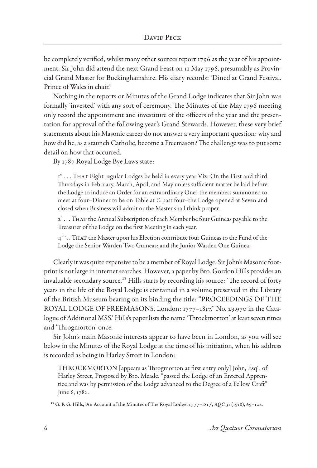be completely verified, whilst many other sources report 1796 as the year of his appointment. Sir John did attend the next Grand Feast on 11 May 1796, presumably as Provincial Grand Master for Buckinghamshire. His diary records: 'Dined at Grand Festival. Prince of Wales in chair.'

Nothing in the reports or Minutes of the Grand Lodge indicates that Sir John was formally 'invested' with any sort of ceremony. The Minutes of the May 1796 meeting only record the appointment and investiture of the officers of the year and the presentation for approval of the following year's Grand Stewards. However, these very brief statements about his Masonic career do not answer a very important question: why and how did he, as a staunch Catholic, become a Freemason? The challenge was to put some detail on how that occurred.

By 1787 Royal Lodge Bye Laws state:

I<sup>st</sup>... THAT Eight regular Lodges be held in every year Viz: On the First and third Thursdays in February, March, April, and May unless sufficient matter be laid before the Lodge to induce an Order for an extraordinary One–the members summoned to meet at four–Dinner to be on Table at ½ past four–the Lodge opened at Seven and closed when Business will admit or the Master shall think proper.

 $2<sup>d</sup>$  . . . That the Annual Subscription of each Member be four Guineas payable to the Treasurer of the Lodge on the first Meeting in each year.

 $4<sup>th</sup>$ .. That the Master upon his Election contribute four Guineas to the Fund of the Lodge the Senior Warden Two Guineas: and the Junior Warden One Guinea.

Clearly it was quite expensive to be a member of Royal Lodge. Sir John's Masonic footprint is not large in internet searches. However, a paper by Bro. Gordon Hills provides an invaluable secondary source.<sup>15</sup> Hills starts by recording his source: 'The record of forty years in the life of the Royal Lodge is contained in a volume preserved in the Library of the British Museum bearing on its binding the title: "PROCEEDINGS OF THE ROYAL LODGE OF FREEMASONS, London: 1777–1817,'' No. 29.970 in the Catalogue of Additional MSS.' Hills's paper lists the name 'Throckmorton' at least seven times and 'Throgmorton' once.

Sir John's main Masonic interests appear to have been in London, as you will see below in the Minutes of the Royal Lodge at the time of his initiation, when his address is recorded as being in Harley Street in London:

THROCKMORTON [appears as Throgmorton at first entry only] John, Esq<sup>r</sup>. of Harley Street, Proposed by Bro. Meade. "passed the Lodge of an Entered Apprentice and was by permission of the Lodge advanced to the Degree of a Fellow Craft" June 6, 1782.

15 G. P. G. Hills, 'An Account of the Minutes of The Royal Lodge, 1777–1817', *AQC* 31 (1918), 69–122.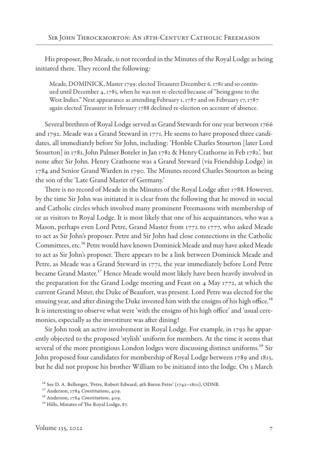His proposer, Bro Meade, is not recorded in the Minutes of the Royal Lodge as being initiated there. They record the following:

Meade, DOMINICK, Master 1799: elected Treasurer December 6, 1781 and so continued until December 4, 1783, when he was not re-elected because of "being gone to the West Indies." Next appearance as attending February 1, 1787 and on February 17, 1787 again elected Treasurer in February 1788 declined re-election on account of absence.

Several brethren of Royal Lodge served as Grand Stewards for one year between 1766 and 1792. Meade was a Grand Steward in 1771. He seems to have proposed three candidates, all immediately before Sir John, including: 'Honble Charles Stourton [later Lord Stourton] in 1781, John Palmer Boteler in Jan 1782 & Henry Crathorne in Feb 1782', but none after Sir John. Henry Crathorne was a Grand Steward (via Friendship Lodge) in 1784 and Senior Grand Warden in 1790. The Minutes record Charles Stourton as being the son of the 'Late Grand Master of Germany.'

There is no record of Meade in the Minutes of the Royal Lodge after 1788. However, by the time Sir John was initiated it is clear from the following that he moved in social and Catholic circles which involved many prominent Freemasons with membership of or as visitors to Royal Lodge. It is most likely that one of his acquaintances, who was a Mason, perhaps even Lord Petre, Grand Master from 1772 to 1777, who asked Meade to act as Sir John's proposer. Petre and Sir John had close connections in the Catholic Committees, etc.16 Petre would have known Dominick Meade and may have asked Meade to act as Sir John's proposer. There appears to be a link between Dominick Meade and Petre, as Meade was a Grand Steward in 1771, the year immediately before Lord Petre became Grand Master.17 Hence Meade would most likely have been heavily involved in the preparation for the Grand Lodge meeting and Feast on 4 May 1772, at which the current Grand Mster, the Duke of Beaufort, was present. Lord Petre was elected for the ensuing year, and after dining the Duke invested him with the ensigns of his high office.<sup>18</sup> It is interesting to observe what were 'with the ensigns of his high office' and 'usual ceremonies, especially as the investiture was after dining!

Sir John took an active involvement in Royal Lodge. For example, in 1792 he apparently objected to the proposed 'stylish' uniform for members. At the time it seems that several of the more prestigious London lodges were discussing distinct uniforms.<sup>19</sup> Sir John proposed four candidates for membership of Royal Lodge between 1789 and 1813, but he did not propose his brother William to be initiated into the lodge. On 3 March

<sup>16</sup> See D. A. Bellenger, 'Petre, Robert Edward, 9th Baron Petre' (1742–1801), ODNB.

<sup>17</sup> Anderson, 1784 *Constitutions*, 409.

<sup>18</sup> Anderson, 1784 *Constitutions*, 409.

<sup>19</sup> Hills, Minutes of The Royal Lodge, 87.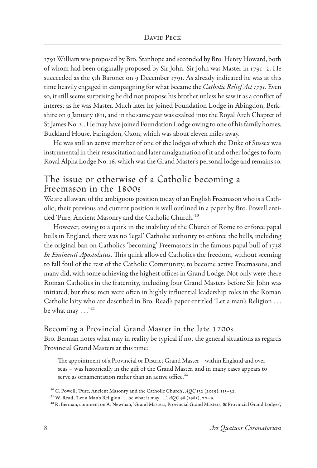1791 William was proposed by Bro. Stanhope and seconded by Bro. Henry Howard, both of whom had been originally proposed by Sir John. Sir John was Master in 1791–2. He succeeded as the 5th Baronet on 9 December 1791. As already indicated he was at this time heavily engaged in campaigning for what became the *Catholic Relief Act 1791*. Even so, it still seems surprising he did not propose his brother unless he saw it as a conflict of interest as he was Master. Much later he joined Foundation Lodge in Abingdon, Berkshire on 9 January 1811, and in the same year was exalted into the Royal Arch Chapter of St James No. 2.. He may have joined Foundation Lodge owing to one of his family homes, Buckland House, Faringdon, Oxon, which was about eleven miles away.

He was still an active member of one of the lodges of which the Duke of Sussex was instrumental in their resuscitation and later amalgamation of it and other lodges to form Royal Alpha Lodge No. 16, which was the Grand Master's personal lodge and remains so.

### The issue or otherwise of a Catholic becoming a Freemason in the 1800s

We are all aware of the ambiguous position today of an English Freemason who is a Catholic; their previous and current position is well outlined in a paper by Bro. Powell entitled 'Pure, Ancient Masonry and the Catholic Church.'20

However, owing to a quirk in the inability of the Church of Rome to enforce papal bulls in England, there was no 'legal' Catholic authority to enforce the bulls, including the original ban on Catholics 'becoming' Freemasons in the famous papal bull of 1738 *In Eminenti Apostolatus*. This quirk allowed Catholics the freedom, without seeming to fall foul of the rest of the Catholic Community, to become active Freemasons, and many did, with some achieving the highest offices in Grand Lodge. Not only were there Roman Catholics in the fraternity, including four Grand Masters before Sir John was initiated, but these men were often in highly influential leadership roles in the Roman Catholic laity who are described in Bro. Read's paper entitled 'Let a man's Religion . . . be what may  $\ldots$ <sup>"21</sup>

## Becoming a Provincial Grand Master in the late 1700s

Bro. Berman notes what may in reality be typical if not the general situations as regards Provincial Grand Masters at this time:

The appointment of a Provincial or District Grand Master – within England and overseas – was historically in the gift of the Grand Master, and in many cases appears to serve as ornamentation rather than an active office.<sup>22</sup>

<sup>20</sup> C. Powell, 'Pure, Ancient Masonry and the Catholic Church', *AQC* 132 (2019), 115–52.

<sup>&</sup>lt;sup>21</sup> W. Read, 'Let a Man's Religion . . . be what it may . . . , AQC 98 (1985), 77-9.

<sup>&</sup>lt;sup>22</sup> R. Berman, comment on A. Newman, 'Grand Masters, Provincial Grand Masters, & Provincial Grand Lodges',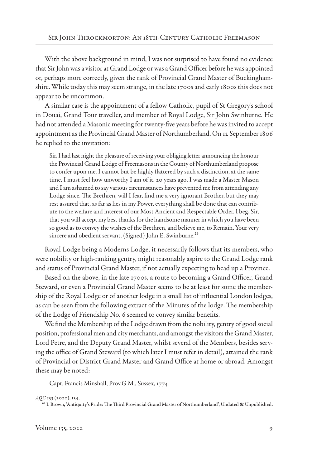With the above background in mind, I was not surprised to have found no evidence that Sir John was a visitor at Grand Lodge or was a Grand Officer before he was appointed or, perhaps more correctly, given the rank of Provincial Grand Master of Buckinghamshire. While today this may seem strange, in the late 1700s and early 1800s this does not appear to be uncommon.

A similar case is the appointment of a fellow Catholic, pupil of St Gregory's school in Douai, Grand Tour traveller, and member of Royal Lodge, Sir John Swinburne. He had not attended a Masonic meeting for twenty-five years before he was invited to accept appointment as the Provincial Grand Master of Northumberland. On 12 September 1806 he replied to the invitation:

Sir, I had last night the pleasure of receiving your obliging letter announcing the honour the Provincial Grand Lodge of Freemasons in the County of Northumberland propose to confer upon me. I cannot but be highly flattered by such a distinction, at the same time, I must feel how unworthy I am of it. 20 years ago, I was made a Master Mason and I am ashamed to say various circumstances have prevented me from attending any Lodge since. The Brethren, will I fear, find me a very ignorant Brother, but they may rest assured that, as far as lies in my Power, everything shall be done that can contribute to the welfare and interest of our Most Ancient and Respectable Order. I beg, Sir, that you will accept my best thanks for the handsome manner in which you have been so good as to convey the wishes of the Brethren, and believe me, to Remain, Your very sincere and obedient servant, (Signed) John E. Swinburne.<sup>23</sup>

Royal Lodge being a Moderns Lodge, it necessarily follows that its members, who were nobility or high-ranking gentry, might reasonably aspire to the Grand Lodge rank and status of Provincial Grand Master, if not actually expecting to head up a Province.

Based on the above, in the late 1700s, a route to becoming a Grand Officer, Grand Steward, or even a Provincial Grand Master seems to be at least for some the membership of the Royal Lodge or of another lodge in a small list of influential London lodges, as can be seen from the following extract of the Minutes of the lodge. The membership of the Lodge of Friendship No. 6 seemed to convey similar benefits.

We find the Membership of the Lodge drawn from the nobility, gentry of good social position, professional men and city merchants, and amongst the visitors the Grand Master, Lord Petre, and the Deputy Grand Master, whilst several of the Members, besides serving the office of Grand Steward (to which later I must refer in detail), attained the rank of Provincial or District Grand Master and Grand Office at home or abroad. Amongst these may be noted:

Capt. Francis Minshall, Prov.G.M., Sussex, 1774.

*AQC* 133 (2020), 134.

23 I. Brown, 'Antiquity's Pride: The Third Provincial Grand Master of Northumberland', Undated & Unpublished.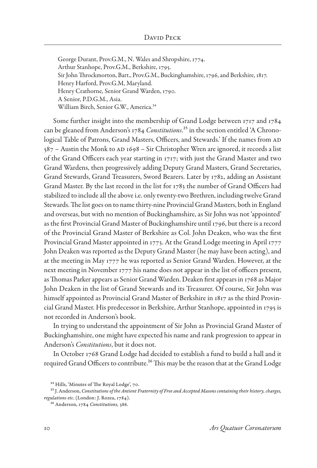George Durant, Prov.G.M., N. Wales and Shropshire, 1774. Arthur Stanhope, Prov.G.M., Berkshire, 1795. Sir John Throckmorton, Bart., Prov.G.M., Buckinghamshire, 1796, and Berkshire, 1817. Henry Harford, Prov.G.M, Maryland. Henry Crathorne, Senior Grand Warden, 1790. A Senior, P.D.G.M., Asia. William Birch, Senior G.W., America.<sup>24</sup>

Some further insight into the membership of Grand Lodge between 1717 and 1784 can be gleaned from Anderson's 1784 *Constitutions*.25 in the section entitled 'A Chronological Table of Patrons, Grand Masters, Officers, and Stewards.' If the names from AD  $587$  – Austin the Monk to AD 1698 – Sir Christopher Wren are ignored, it records a list of the Grand Officers each year starting in 1717; with just the Grand Master and two Grand Wardens, then progressively adding Deputy Grand Masters, Grand Secretaries, Grand Stewards, Grand Treasurers, Sword Bearers. Later by 1782, adding an Assistant Grand Master. By the last record in the list for 1783 the number of Grand Officers had stabilized to include all the above i.e. only twenty-two Brethren, including twelve Grand Stewards. The list goes on to name thirty-nine Provincial Grand Masters, both in England and overseas, but with no mention of Buckinghamshire, as Sir John was not 'appointed' as the first Provincial Grand Master of Buckinghamshire until 1796, but there is a record of the Provincial Grand Master of Berkshire as Col. John Deaken, who was the first Provincial Grand Master appointed in 1773. At the Grand Lodge meeting in April 1777 John Deaken was reported as the Deputy Grand Master (he may have been acting), and at the meeting in May 1777 he was reported as Senior Grand Warden. However, at the next meeting in November 1777 his name does not appear in the list of officers present, as Thomas Parker appears as Senior Grand Warden. Deaken first appears in 1768 as Major John Deaken in the list of Grand Stewards and its Treasurer. Of course, Sir John was himself appointed as Provincial Grand Master of Berkshire in 1817 as the third Provincial Grand Master. His predecessor in Berkshire, Arthur Stanhope, appointed in 1795 is not recorded in Anderson's book.

In trying to understand the appointment of Sir John as Provincial Grand Master of Buckinghamshire, one might have expected his name and rank progression to appear in Anderson's *Constitutions*, but it does not.

In October 1768 Grand Lodge had decided to establish a fund to build a hall and it required Grand Officers to contribute.<sup>26</sup> This may be the reason that at the Grand Lodge

<sup>&</sup>lt;sup>24</sup> Hills, 'Minutes of The Royal Lodge', 70.

<sup>25</sup> J. Anderson, *Constitutions of the Antient Fraternity of Free and Accepted Masons containing their history, charges, regulations etc*. (London: J. Rozea, 1784).

<sup>26</sup> Anderson, 1784 *Constitutions,* 386.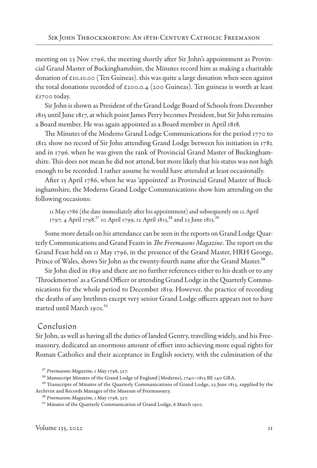meeting on 23 Nov 1796, the meeting shortly after Sir John's appointment as Provincial Grand Master of Buckinghamshire, the Minutes record him as making a charitable donation of  $\epsilon$ 10.10.00 (Ten Guineas). this was quite a large donation when seen against the total donations recorded of  $\epsilon$ 200.0.4 (200 Guineas). Ten guineas is worth at least  $£1700$  today.

Sir John is shown as President of the Grand Lodge Board of Schools from December 1815 until June 1817, at which point James Perry becomes President, but Sir John remains a Board member. He was again appointed as a Board member in April 1818.

The Minutes of the Moderns Grand Lodge Communications for the period 1770 to 1812 show no record of Sir John attending Grand Lodge between his initiation in 1782 and in 1796. when he was given the rank of Provincial Grand Master of Buckinghamshire. This does not mean he did not attend, but more likely that his status was not high enough to be recorded. I rather assume he would have attended at least occasionally.

After 13 April 1786, when he was 'appointed' as Provincial Grand Master of Buckinghamshire, the Moderns Grand Lodge Communications show him attending on the following occasions:

11 May 1786 (the date immediately after his appointment) and subsequently on 12 April 1797, 4 April 1798,<sup>27</sup> 10 April 1799, 12 April 1813,<sup>28</sup> and 23 June 1813.<sup>29</sup>

Some more details on his attendance can be seen in the reports on Grand Lodge Quarterly Communications and Grand Feasts in *The Freemasons Magazine*. The report on the Grand Feast held on 11 May 1796, in the presence of the Grand Master, HRH George, Prince of Wales, shows Sir John as the twenty-fourth name after the Grand Master.<sup>30</sup>

Sir John died in 1819 and there are no further references either to his death or to any 'Throckmorton' as a Grand Officer or attending Grand Lodge in the Quarterly Communications for the whole period to December 1819. However, the practice of recording the deaths of any brethren except very senior Grand Lodge officers appears not to have started until March 1901.<sup>31</sup>

#### Conclusion

Sir John, as well as having all the duties of landed Gentry, travelling widely, and his Freemasonry, dedicated an enormous amount of effort into achieving more equal rights for Roman Catholics and their acceptance in English society, with the culmination of the

<sup>27</sup> *Freemasons Magazine*, 1 May 1798, 327.

<sup>&</sup>lt;sup>28</sup> Manuscript Minutes of the Grand Lodge of England (Moderns), 1740-1813 BE 140 GRA.

<sup>&</sup>lt;sup>29</sup> Transcripts of Minutes of the Quarterly Communications of Grand Lodge, 23 June 1813, supplied by the Archivist and Records Manager of the Museum of Freemasonry.

<sup>30</sup> *Freemasons Magazine*, 1 May 1798, 327.

<sup>&</sup>lt;sup>31</sup> Minutes of the Quarterly Communication of Grand Lodge, 6 March 1901.